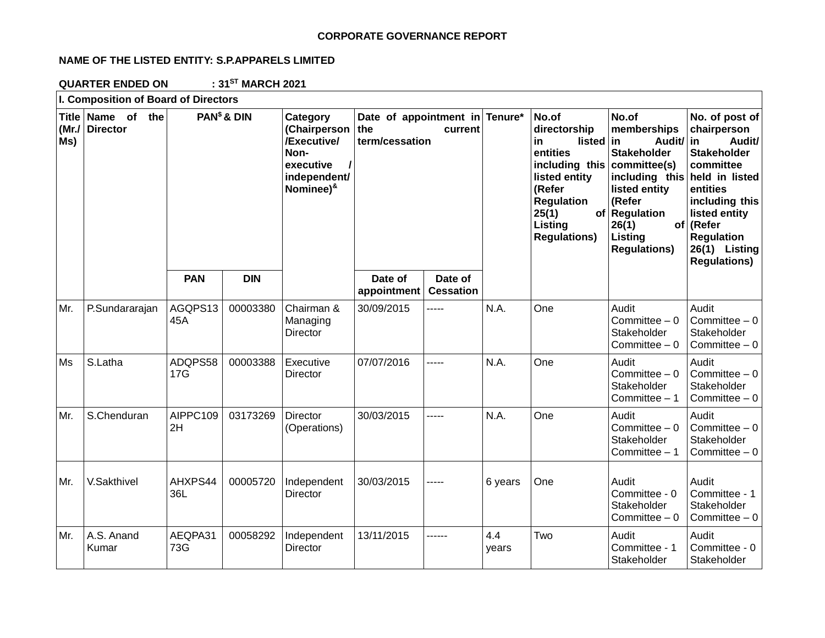## **CORPORATE GOVERNANCE REPORT**

# **NAME OF THE LISTED ENTITY: S.P.APPARELS LIMITED**

**QUARTER ENDED ON : 31ST MARCH 2021**

| I. Composition of Board of Directors |                                |                         |            |                                                                                                           |                                                                    |                             |                                                                                                                                                                                    |                                                                                                                                                                   |                                                                                                                                                                                                                                      |                                                          |
|--------------------------------------|--------------------------------|-------------------------|------------|-----------------------------------------------------------------------------------------------------------|--------------------------------------------------------------------|-----------------------------|------------------------------------------------------------------------------------------------------------------------------------------------------------------------------------|-------------------------------------------------------------------------------------------------------------------------------------------------------------------|--------------------------------------------------------------------------------------------------------------------------------------------------------------------------------------------------------------------------------------|----------------------------------------------------------|
| <b>Title</b><br>(Mr./<br>Ms)         | Name of the<br><b>Director</b> | PAN <sup>\$</sup> & DIN |            | Category<br>(Chairperson<br>/Executive/<br>Non-<br>executive<br>independent/<br>Nominee) <sup>&amp;</sup> | Date of appointment in Tenure*<br>the<br>current<br>term/cessation |                             | No.of<br>directorship<br>listed<br>in.<br>entities<br>including this<br>listed entity<br>(Refer<br><b>Regulation</b><br>25(1)<br>of <sub>l</sub><br>Listing<br><b>Regulations)</b> | No.of<br>memberships<br>Audit/ in<br>in<br><b>Stakeholder</b><br>committee(s)<br>listed entity<br>(Refer<br>Regulation<br>26(1)<br>Listing<br><b>Regulations)</b> | No. of post of<br>chairperson<br>Audit/<br><b>Stakeholder</b><br>committee<br>including this held in listed<br>entities<br>including this<br>listed entity<br>of (Refer<br><b>Regulation</b><br>26(1) Listing<br><b>Regulations)</b> |                                                          |
|                                      |                                | <b>PAN</b>              | <b>DIN</b> |                                                                                                           | Date of<br>appointment                                             | Date of<br><b>Cessation</b> |                                                                                                                                                                                    |                                                                                                                                                                   |                                                                                                                                                                                                                                      |                                                          |
| Mr.                                  | P.Sundararajan                 | AGQPS13<br>45A          | 00003380   | Chairman &<br>Managing<br>Director                                                                        | 30/09/2015                                                         | -----                       | N.A.                                                                                                                                                                               | One                                                                                                                                                               | Audit<br>Committee $-0$<br>Stakeholder<br>Committee $-0$                                                                                                                                                                             | Audit<br>Committee $-0$<br>Stakeholder<br>Committee $-0$ |
| Ms                                   | S.Latha                        | ADQPS58<br>17G          | 00003388   | Executive<br>Director                                                                                     | 07/07/2016                                                         | -----                       | N.A.                                                                                                                                                                               | One                                                                                                                                                               | Audit<br>Committee $-0$<br>Stakeholder<br>Committee $-1$                                                                                                                                                                             | Audit<br>Committee $-0$<br>Stakeholder<br>Committee $-0$ |
| Mr.                                  | S.Chenduran                    | AIPPC109<br>2H          | 03173269   | Director<br>(Operations)                                                                                  | 30/03/2015                                                         | -----                       | N.A.                                                                                                                                                                               | One                                                                                                                                                               | Audit<br>Committee $-0$<br>Stakeholder<br>Committee - 1                                                                                                                                                                              | Audit<br>Committee $-0$<br>Stakeholder<br>Committee $-0$ |
| Mr.                                  | V.Sakthivel                    | AHXPS44<br>36L          | 00005720   | Independent<br>Director                                                                                   | 30/03/2015                                                         | -----                       | 6 years                                                                                                                                                                            | One                                                                                                                                                               | Audit<br>Committee - 0<br>Stakeholder<br>Committee $-0$                                                                                                                                                                              | Audit<br>Committee - 1<br>Stakeholder<br>Committee $-0$  |
| Mr.                                  | A.S. Anand<br>Kumar            | AEQPA31<br>73G          | 00058292   | Independent<br>Director                                                                                   | 13/11/2015                                                         | ------                      | 4.4<br>years                                                                                                                                                                       | Two                                                                                                                                                               | Audit<br>Committee - 1<br>Stakeholder                                                                                                                                                                                                | Audit<br>Committee - 0<br>Stakeholder                    |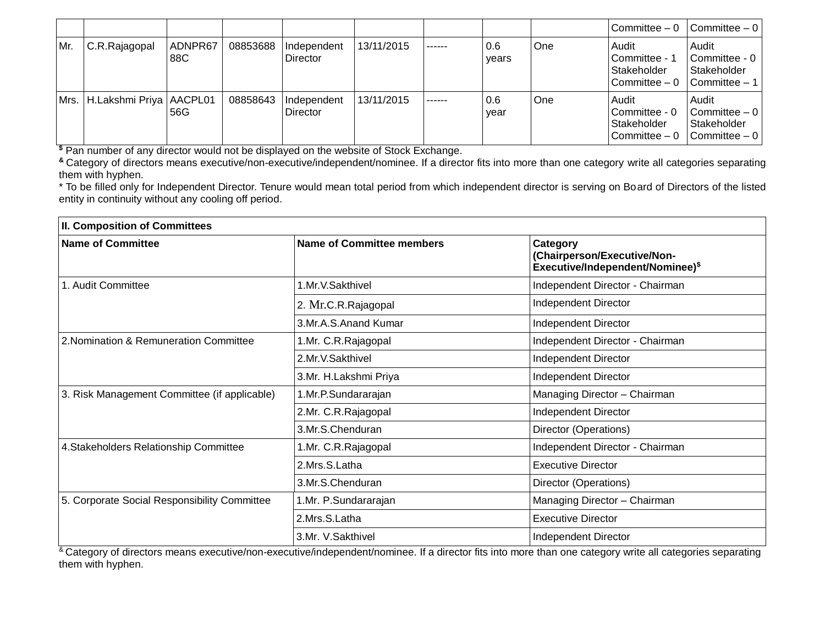|     |                                  |                |          |                         |            |        |              |     | Committee $-0$                                          | $\vert$ Committee $-0 \vert$                                                         |
|-----|----------------------------------|----------------|----------|-------------------------|------------|--------|--------------|-----|---------------------------------------------------------|--------------------------------------------------------------------------------------|
| Mr. | C.R.Rajagopal                    | ADNPR67<br>88C | 08853688 | Independent<br>Director | 13/11/2015 | ------ | 0.6<br>vears | One | Audit<br>Committee - 1<br>Stakeholder<br>Committee $-0$ | Audit<br>Committee - 0<br>Stakeholder<br>$\vert$ Committee $-1 \vert$                |
|     | Mrs.   H.Lakshmi Priya   AACPL01 | 56G            | 08858643 | Independent<br>Director | 13/11/2015 | ------ | 0.6<br>year  | One | Audit<br>Committee - 0<br>Stakeholder<br>Committee $-0$ | Audit<br>$\vert$ Committee $-0 \vert$<br>Stakeholder<br>$\vert$ Committee $-0 \vert$ |

**\$** Pan number of any director would not be displayed on the website of Stock Exchange.

**&** Category of directors means executive/non-executive/independent/nominee. If a director fits into more than one category write all categories separating them with hyphen.

\* To be filled only for Independent Director. Tenure would mean total period from which independent director is serving on Board of Directors of the listed entity in continuity without any cooling off period.

| <b>II. Composition of Committees</b>         |                                  |                                                                                         |  |  |
|----------------------------------------------|----------------------------------|-----------------------------------------------------------------------------------------|--|--|
| <b>Name of Committee</b>                     | <b>Name of Committee members</b> | Category<br>(Chairperson/Executive/Non-<br>Executive/Independent/Nominee) <sup>\$</sup> |  |  |
| 1. Audit Committee                           | 1.Mr.V.Sakthivel                 | Independent Director - Chairman                                                         |  |  |
|                                              | 2. Mr.C.R.Rajagopal              | Independent Director                                                                    |  |  |
|                                              | 3.Mr.A.S.Anand Kumar             | Independent Director                                                                    |  |  |
| 2. Nomination & Remuneration Committee       | 1.Mr. C.R. Rajagopal             | Independent Director - Chairman                                                         |  |  |
|                                              | 2.Mr.V.Sakthivel                 | Independent Director                                                                    |  |  |
|                                              | 3.Mr. H.Lakshmi Priya            | Independent Director                                                                    |  |  |
| 3. Risk Management Committee (if applicable) | 1.Mr.P.Sundararajan              | Managing Director - Chairman                                                            |  |  |
|                                              | 2.Mr. C.R.Rajagopal              | Independent Director                                                                    |  |  |
|                                              | 3.Mr.S.Chenduran                 | Director (Operations)                                                                   |  |  |
| 4. Stakeholders Relationship Committee       | 1.Mr. C.R. Rajagopal             | Independent Director - Chairman                                                         |  |  |
|                                              | 2.Mrs.S.Latha                    | <b>Executive Director</b>                                                               |  |  |
|                                              | 3.Mr.S.Chenduran                 | Director (Operations)                                                                   |  |  |
| 5. Corporate Social Responsibility Committee | 1.Mr. P.Sundararajan             | Managing Director - Chairman                                                            |  |  |
|                                              | 2.Mrs.S.Latha                    | <b>Executive Director</b>                                                               |  |  |
|                                              | 3.Mr. V.Sakthivel                | Independent Director                                                                    |  |  |

<sup>&</sup> Category of directors means executive/non-executive/independent/nominee. If a director fits into more than one category write all categories separating them with hyphen.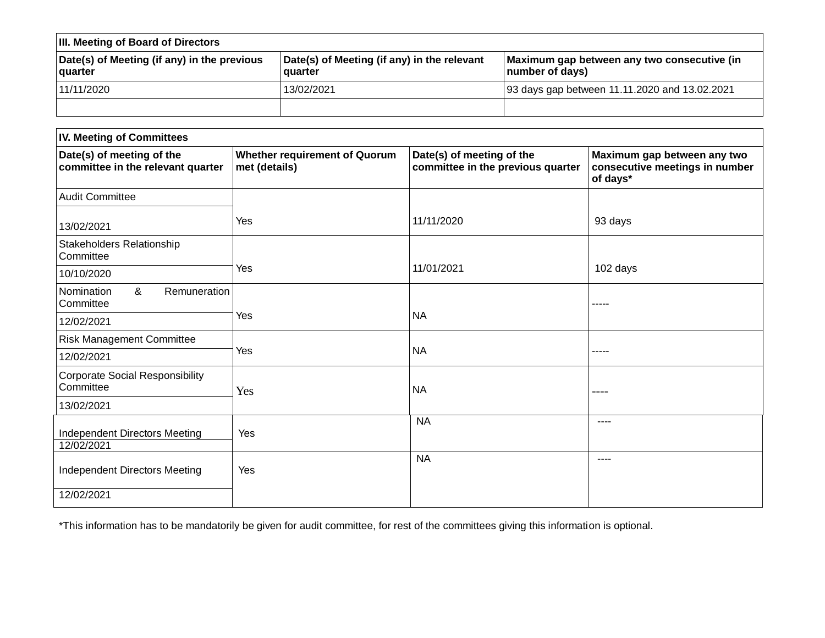| <b>III. Meeting of Board of Directors</b>              |                                                        |                                                                |  |  |
|--------------------------------------------------------|--------------------------------------------------------|----------------------------------------------------------------|--|--|
| Date(s) of Meeting (if any) in the previous<br>quarter | Date(s) of Meeting (if any) in the relevant<br>quarter | Maximum gap between any two consecutive (in<br>number of days) |  |  |
| 11/11/2020                                             | 13/02/2021                                             | 93 days gap between 11.11.2020 and 13.02.2021                  |  |  |
|                                                        |                                                        |                                                                |  |  |

| <b>IV. Meeting of Committees</b>                               |                                                       |                                                                |                                                                           |  |  |
|----------------------------------------------------------------|-------------------------------------------------------|----------------------------------------------------------------|---------------------------------------------------------------------------|--|--|
| Date(s) of meeting of the<br>committee in the relevant quarter | <b>Whether requirement of Quorum</b><br>met (details) | Date(s) of meeting of the<br>committee in the previous quarter | Maximum gap between any two<br>consecutive meetings in number<br>of days* |  |  |
| <b>Audit Committee</b>                                         |                                                       |                                                                |                                                                           |  |  |
| 13/02/2021                                                     | Yes                                                   | 11/11/2020                                                     | 93 days                                                                   |  |  |
| Stakeholders Relationship<br>Committee                         |                                                       |                                                                |                                                                           |  |  |
| 10/10/2020                                                     | Yes                                                   | 11/01/2021                                                     | 102 days                                                                  |  |  |
| &<br>Remuneration<br>Nomination<br>Committee                   |                                                       |                                                                | -----                                                                     |  |  |
| 12/02/2021                                                     | Yes                                                   | <b>NA</b>                                                      |                                                                           |  |  |
| <b>Risk Management Committee</b>                               |                                                       |                                                                |                                                                           |  |  |
| 12/02/2021                                                     | Yes                                                   | <b>NA</b>                                                      | -----                                                                     |  |  |
| <b>Corporate Social Responsibility</b><br>Committee            | Yes                                                   | <b>NA</b>                                                      | ----                                                                      |  |  |
| 13/02/2021                                                     |                                                       |                                                                |                                                                           |  |  |
| Independent Directors Meeting<br>12/02/2021                    | Yes                                                   | <b>NA</b>                                                      | ----                                                                      |  |  |
| Independent Directors Meeting                                  | Yes                                                   | <b>NA</b>                                                      | $- - - -$                                                                 |  |  |
| 12/02/2021                                                     |                                                       |                                                                |                                                                           |  |  |

\*This information has to be mandatorily be given for audit committee, for rest of the committees giving this information is optional.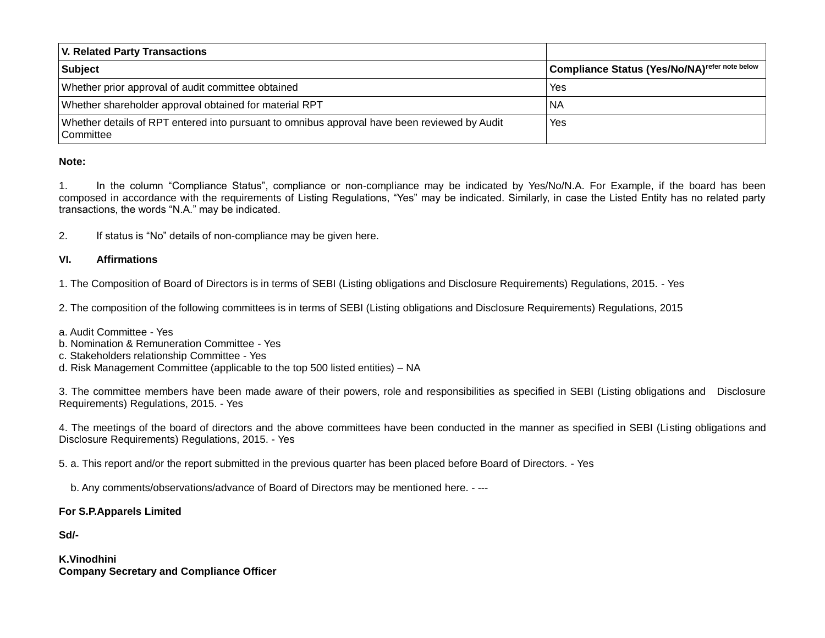| <b>V. Related Party Transactions</b>                                                                      |                                                           |
|-----------------------------------------------------------------------------------------------------------|-----------------------------------------------------------|
| <b>Subject</b>                                                                                            | Compliance Status (Yes/No/NA) <sup>refer note below</sup> |
| Whether prior approval of audit committee obtained                                                        | Yes                                                       |
| Whether shareholder approval obtained for material RPT                                                    | NA                                                        |
| Whether details of RPT entered into pursuant to omnibus approval have been reviewed by Audit<br>Committee | Yes                                                       |

### **Note:**

1. In the column "Compliance Status", compliance or non-compliance may be indicated by Yes/No/N.A. For Example, if the board has been composed in accordance with the requirements of Listing Regulations, "Yes" may be indicated. Similarly, in case the Listed Entity has no related party transactions, the words "N.A." may be indicated.

2. If status is "No" details of non-compliance may be given here.

### **VI. Affirmations**

1. The Composition of Board of Directors is in terms of SEBI (Listing obligations and Disclosure Requirements) Regulations, 2015. - Yes

2. The composition of the following committees is in terms of SEBI (Listing obligations and Disclosure Requirements) Regulations, 2015

- a. Audit Committee Yes
- b. Nomination & Remuneration Committee Yes
- c. Stakeholders relationship Committee Yes
- d. Risk Management Committee (applicable to the top 500 listed entities) NA

3. The committee members have been made aware of their powers, role and responsibilities as specified in SEBI (Listing obligations and Disclosure Requirements) Regulations, 2015. - Yes

4. The meetings of the board of directors and the above committees have been conducted in the manner as specified in SEBI (Listing obligations and Disclosure Requirements) Regulations, 2015. - Yes

5. a. This report and/or the report submitted in the previous quarter has been placed before Board of Directors. - Yes

b. Any comments/observations/advance of Board of Directors may be mentioned here. - ---

### **For S.P.Apparels Limited**

**Sd/-**

**K.Vinodhini Company Secretary and Compliance Officer**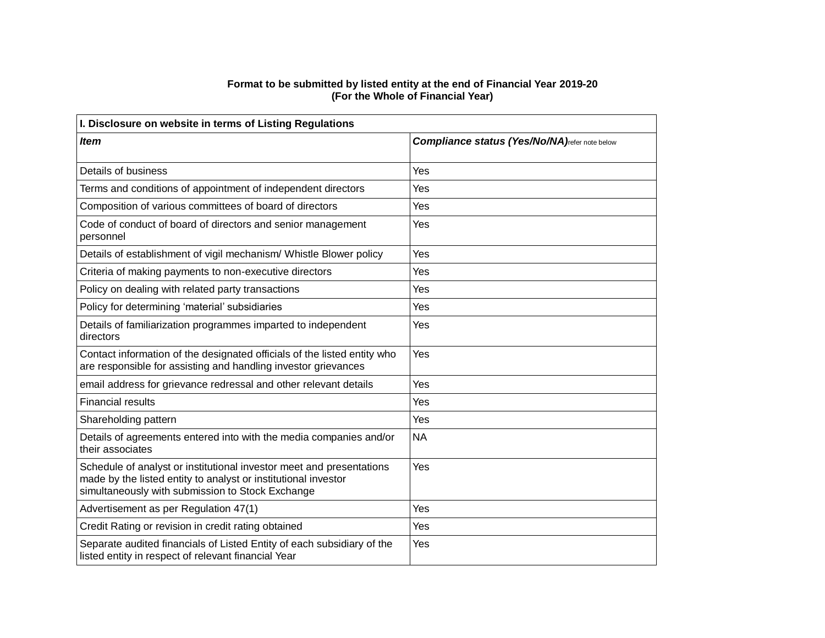#### **Format to be submitted by listed entity at the end of Financial Year 2019-20 (For the Whole of Financial Year)**

| I. Disclosure on website in terms of Listing Regulations                                                                                                                                   |                                                       |  |  |  |
|--------------------------------------------------------------------------------------------------------------------------------------------------------------------------------------------|-------------------------------------------------------|--|--|--|
| <b>Item</b>                                                                                                                                                                                | <b>Compliance status (Yes/No/NA)</b> refer note below |  |  |  |
|                                                                                                                                                                                            |                                                       |  |  |  |
| Details of business                                                                                                                                                                        | Yes                                                   |  |  |  |
| Terms and conditions of appointment of independent directors                                                                                                                               | Yes                                                   |  |  |  |
| Composition of various committees of board of directors                                                                                                                                    | Yes                                                   |  |  |  |
| Code of conduct of board of directors and senior management<br>personnel                                                                                                                   | Yes                                                   |  |  |  |
| Details of establishment of vigil mechanism/ Whistle Blower policy                                                                                                                         | Yes                                                   |  |  |  |
| Criteria of making payments to non-executive directors                                                                                                                                     | Yes                                                   |  |  |  |
| Policy on dealing with related party transactions                                                                                                                                          | Yes                                                   |  |  |  |
| Policy for determining 'material' subsidiaries                                                                                                                                             | Yes                                                   |  |  |  |
| Details of familiarization programmes imparted to independent<br>directors                                                                                                                 | Yes                                                   |  |  |  |
| Contact information of the designated officials of the listed entity who<br>are responsible for assisting and handling investor grievances                                                 | Yes                                                   |  |  |  |
| email address for grievance redressal and other relevant details                                                                                                                           | Yes                                                   |  |  |  |
| <b>Financial results</b>                                                                                                                                                                   | Yes                                                   |  |  |  |
| Shareholding pattern                                                                                                                                                                       | Yes                                                   |  |  |  |
| Details of agreements entered into with the media companies and/or<br>their associates                                                                                                     | <b>NA</b>                                             |  |  |  |
| Schedule of analyst or institutional investor meet and presentations<br>made by the listed entity to analyst or institutional investor<br>simultaneously with submission to Stock Exchange | Yes                                                   |  |  |  |
| Advertisement as per Regulation 47(1)                                                                                                                                                      | Yes                                                   |  |  |  |
| Credit Rating or revision in credit rating obtained                                                                                                                                        | Yes                                                   |  |  |  |
| Separate audited financials of Listed Entity of each subsidiary of the<br>listed entity in respect of relevant financial Year                                                              | Yes                                                   |  |  |  |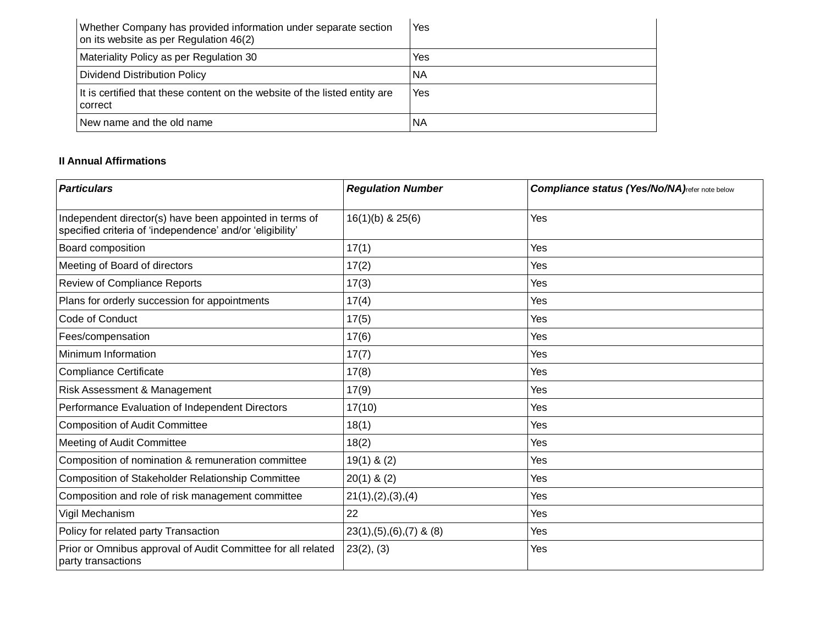| Whether Company has provided information under separate section<br>on its website as per Regulation 46(2) | Yes |
|-----------------------------------------------------------------------------------------------------------|-----|
| Materiality Policy as per Regulation 30                                                                   | Yes |
| Dividend Distribution Policy                                                                              | ΝA  |
| It is certified that these content on the website of the listed entity are<br>correct                     | Yes |
| New name and the old name                                                                                 | ΝA  |

# **II Annual Affirmations**

| <b>Particulars</b>                                                                                                   | <b>Regulation Number</b>       | <b>Compliance status (Yes/No/NA)</b> refer note below |
|----------------------------------------------------------------------------------------------------------------------|--------------------------------|-------------------------------------------------------|
| Independent director(s) have been appointed in terms of<br>specified criteria of 'independence' and/or 'eligibility' | $16(1)(b)$ & $25(6)$           | Yes                                                   |
| Board composition                                                                                                    | 17(1)                          | Yes                                                   |
| Meeting of Board of directors                                                                                        | 17(2)                          | Yes                                                   |
| Review of Compliance Reports                                                                                         | 17(3)                          | Yes                                                   |
| Plans for orderly succession for appointments                                                                        | 17(4)                          | Yes                                                   |
| Code of Conduct                                                                                                      | 17(5)                          | Yes                                                   |
| Fees/compensation                                                                                                    | 17(6)                          | Yes                                                   |
| Minimum Information                                                                                                  | 17(7)                          | Yes                                                   |
| <b>Compliance Certificate</b>                                                                                        | 17(8)                          | Yes                                                   |
| Risk Assessment & Management                                                                                         | 17(9)                          | Yes                                                   |
| Performance Evaluation of Independent Directors                                                                      | 17(10)                         | Yes                                                   |
| <b>Composition of Audit Committee</b>                                                                                | 18(1)                          | Yes                                                   |
| Meeting of Audit Committee                                                                                           | 18(2)                          | Yes                                                   |
| Composition of nomination & remuneration committee                                                                   | $19(1)$ & (2)                  | Yes                                                   |
| Composition of Stakeholder Relationship Committee                                                                    | $20(1)$ & $(2)$                | Yes                                                   |
| Composition and role of risk management committee                                                                    | 21(1), (2), (3), (4)           | Yes                                                   |
| Vigil Mechanism                                                                                                      | 22                             | Yes                                                   |
| Policy for related party Transaction                                                                                 | $23(1), (5), (6), (7)$ & $(8)$ | Yes                                                   |
| Prior or Omnibus approval of Audit Committee for all related<br>party transactions                                   | 23(2), (3)                     | Yes                                                   |